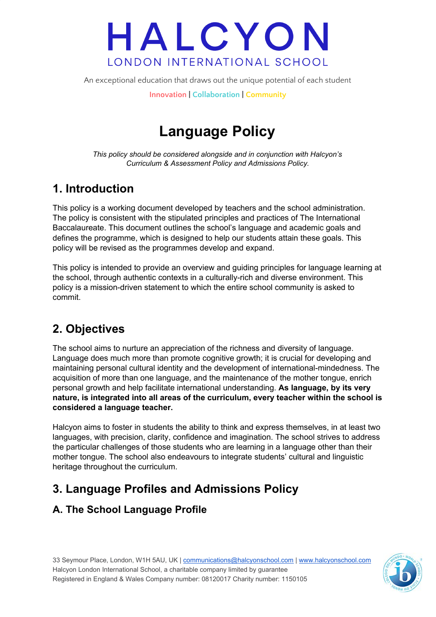An exceptional education that draws out the unique potential of each student

**Innovation | Collaboration | Community**

# **Language Policy**

*This policy should be considered alongside and in conjunction with Halcyon's Curriculum & Assessment Policy and Admissions Policy.*

## **1. Introduction**

This policy is a working document developed by teachers and the school administration. The policy is consistent with the stipulated principles and practices of The International Baccalaureate. This document outlines the school's language and academic goals and defines the programme, which is designed to help our students attain these goals. This policy will be revised as the programmes develop and expand.

This policy is intended to provide an overview and guiding principles for language learning at the school, through authentic contexts in a culturally-rich and diverse environment. This policy is a mission-driven statement to which the entire school community is asked to commit.

# **2. Objectives**

The school aims to nurture an appreciation of the richness and diversity of language. Language does much more than promote cognitive growth; it is crucial for developing and maintaining personal cultural identity and the development of international-mindedness. The acquisition of more than one language, and the maintenance of the mother tongue, enrich personal growth and help facilitate international understanding. **As language, by its very nature, is integrated into all areas of the curriculum, every teacher within the school is considered a language teacher.**

Halcyon aims to foster in students the ability to think and express themselves, in at least two languages, with precision, clarity, confidence and imagination. The school strives to address the particular challenges of those students who are learning in a language other than their mother tongue. The school also endeavours to integrate students' cultural and linguistic heritage throughout the curriculum.

# **3. Language Profiles and Admissions Policy**

## **A. The School Language Profile**

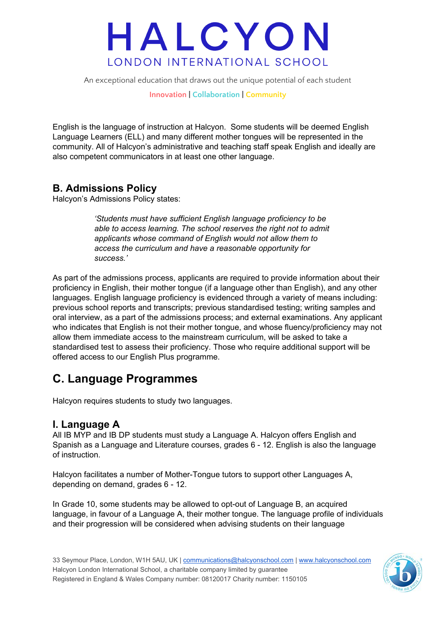An exceptional education that draws out the unique potential of each student

**Innovation | Collaboration | Community**

English is the language of instruction at Halcyon. Some students will be deemed English Language Learners (ELL) and many different mother tongues will be represented in the community. All of Halcyon's administrative and teaching staff speak English and ideally are also competent communicators in at least one other language.

## **B. Admissions Policy**

Halcyon's Admissions Policy states:

*'Students must have sufficient English language proficiency to be able to access learning. The school reserves the right not to admit applicants whose command of English would not allow them to access the curriculum and have a reasonable opportunity for success.'*

As part of the admissions process, applicants are required to provide information about their proficiency in English, their mother tongue (if a language other than English), and any other languages. English language proficiency is evidenced through a variety of means including: previous school reports and transcripts; previous standardised testing; writing samples and oral interview, as a part of the admissions process; and external examinations. Any applicant who indicates that English is not their mother tongue, and whose fluency/proficiency may not allow them immediate access to the mainstream curriculum, will be asked to take a standardised test to assess their proficiency. Those who require additional support will be offered access to our English Plus programme.

## **C. Language Programmes**

Halcyon requires students to study two languages.

### **I. Language A**

All IB MYP and IB DP students must study a Language A. Halcyon offers English and Spanish as a Language and Literature courses, grades 6 - 12. English is also the language of instruction.

Halcyon facilitates a number of Mother-Tongue tutors to support other Languages A, depending on demand, grades 6 - 12.

In Grade 10, some students may be allowed to opt-out of Language B, an acquired language, in favour of a Language A, their mother tongue. The language profile of individuals and their progression will be considered when advising students on their language

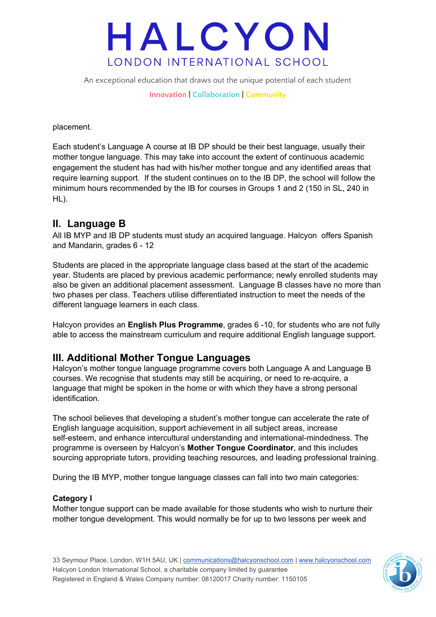An exceptional education that draws out the unique potential of each student

**Innovation | Collaboration | Community**

placement.

Each student's Language A course at IB DP should be their best language, usually their mother tongue language. This may take into account the extent of continuous academic engagement the student has had with his/her mother tongue and any identified areas that require learning support. If the student continues on to the IB DP, the school will follow the minimum hours recommended by the IB for courses in Groups 1 and 2 (150 in SL, 240 in HL).

## **II. Language B**

All IB MYP and IB DP students must study an acquired language. Halcyon offers Spanish and Mandarin, grades 6 - 12

Students are placed in the appropriate language class based at the start of the academic year. Students are placed by previous academic performance; newly enrolled students may also be given an additional placement assessment. Language B classes have no more than two phases per class. Teachers utilise differentiated instruction to meet the needs of the different language learners in each class.

Halcyon provides an **English Plus Programme**, grades 6 -10, for students who are not fully able to access the mainstream curriculum and require additional English language support.

### **III. Additional Mother Tongue Languages**

Halcyon's mother tongue language programme covers both Language A and Language B courses. We recognise that students may still be acquiring, or need to re-acquire, a language that might be spoken in the home or with which they have a strong personal identification.

The school believes that developing a student's mother tongue can accelerate the rate of English language acquisition, support achievement in all subject areas, increase self-esteem, and enhance intercultural understanding and international-mindedness. The programme is overseen by Halcyon's **Mother Tongue Coordinator**, and this includes sourcing appropriate tutors, providing teaching resources, and leading professional training.

During the IB MYP, mother tongue language classes can fall into two main categories:

#### **Category I**

Mother tongue support can be made available for those students who wish to nurture their mother tongue development. This would normally be for up to two lessons per week and

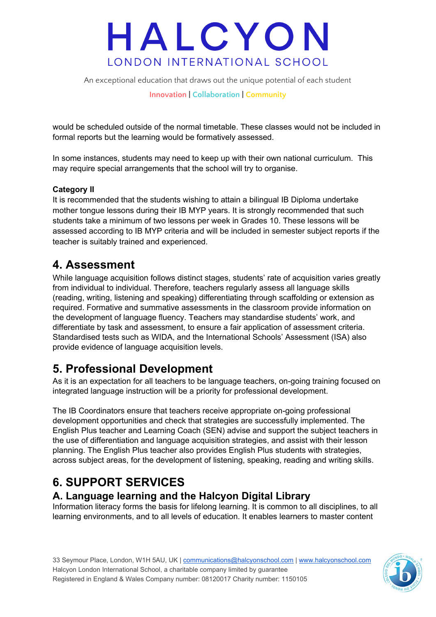An exceptional education that draws out the unique potential of each student

**Innovation | Collaboration | Community**

would be scheduled outside of the normal timetable. These classes would not be included in formal reports but the learning would be formatively assessed.

In some instances, students may need to keep up with their own national curriculum. This may require special arrangements that the school will try to organise.

#### **Category II**

It is recommended that the students wishing to attain a bilingual IB Diploma undertake mother tongue lessons during their IB MYP years. It is strongly recommended that such students take a minimum of two lessons per week in Grades 10. These lessons will be assessed according to IB MYP criteria and will be included in semester subject reports if the teacher is suitably trained and experienced.

## **4. Assessment**

While language acquisition follows distinct stages, students' rate of acquisition varies greatly from individual to individual. Therefore, teachers regularly assess all language skills (reading, writing, listening and speaking) differentiating through scaffolding or extension as required. Formative and summative assessments in the classroom provide information on the development of language fluency. Teachers may standardise students' work, and differentiate by task and assessment, to ensure a fair application of assessment criteria. Standardised tests such as WIDA, and the International Schools' Assessment (ISA) also provide evidence of language acquisition levels.

## **5. Professional Development**

As it is an expectation for all teachers to be language teachers, on-going training focused on integrated language instruction will be a priority for professional development.

The IB Coordinators ensure that teachers receive appropriate on-going professional development opportunities and check that strategies are successfully implemented. The English Plus teacher and Learning Coach (SEN) advise and support the subject teachers in the use of differentiation and language acquisition strategies, and assist with their lesson planning. The English Plus teacher also provides English Plus students with strategies, across subject areas, for the development of listening, speaking, reading and writing skills.

# **6. SUPPORT SERVICES**

## **A. Language learning and the Halcyon Digital Library**

Information literacy forms the basis for lifelong learning. It is common to all disciplines, to all learning environments, and to all levels of education. It enables learners to master content

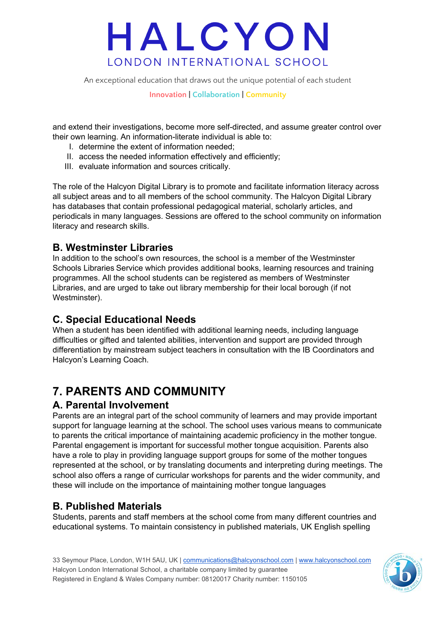An exceptional education that draws out the unique potential of each student

**Innovation | Collaboration | Community**

and extend their investigations, become more self-directed, and assume greater control over their own learning. An information-literate individual is able to:

- I. determine the extent of information needed;
- II. access the needed information effectively and efficiently;
- III. evaluate information and sources critically.

The role of the Halcyon Digital Library is to promote and facilitate information literacy across all subject areas and to all members of the school community. The Halcyon Digital Library has databases that contain professional pedagogical material, scholarly articles, and periodicals in many languages. Sessions are offered to the school community on information literacy and research skills.

### **B. Westminster Libraries**

In addition to the school's own resources, the school is a member of the Westminster Schools Libraries Service which provides additional books, learning resources and training programmes. All the school students can be registered as members of Westminster Libraries, and are urged to take out library membership for their local borough (if not Westminster).

## **C. Special Educational Needs**

When a student has been identified with additional learning needs, including language difficulties or gifted and talented abilities, intervention and support are provided through differentiation by mainstream subject teachers in consultation with the IB Coordinators and Halcyon's Learning Coach.

## **7. PARENTS AND COMMUNITY**

### **A. Parental Involvement**

Parents are an integral part of the school community of learners and may provide important support for language learning at the school. The school uses various means to communicate to parents the critical importance of maintaining academic proficiency in the mother tongue. Parental engagement is important for successful mother tongue acquisition. Parents also have a role to play in providing language support groups for some of the mother tongues represented at the school, or by translating documents and interpreting during meetings. The school also offers a range of curricular workshops for parents and the wider community, and these will include on the importance of maintaining mother tongue languages

## **B. Published Materials**

Students, parents and staff members at the school come from many different countries and educational systems. To maintain consistency in published materials, UK English spelling